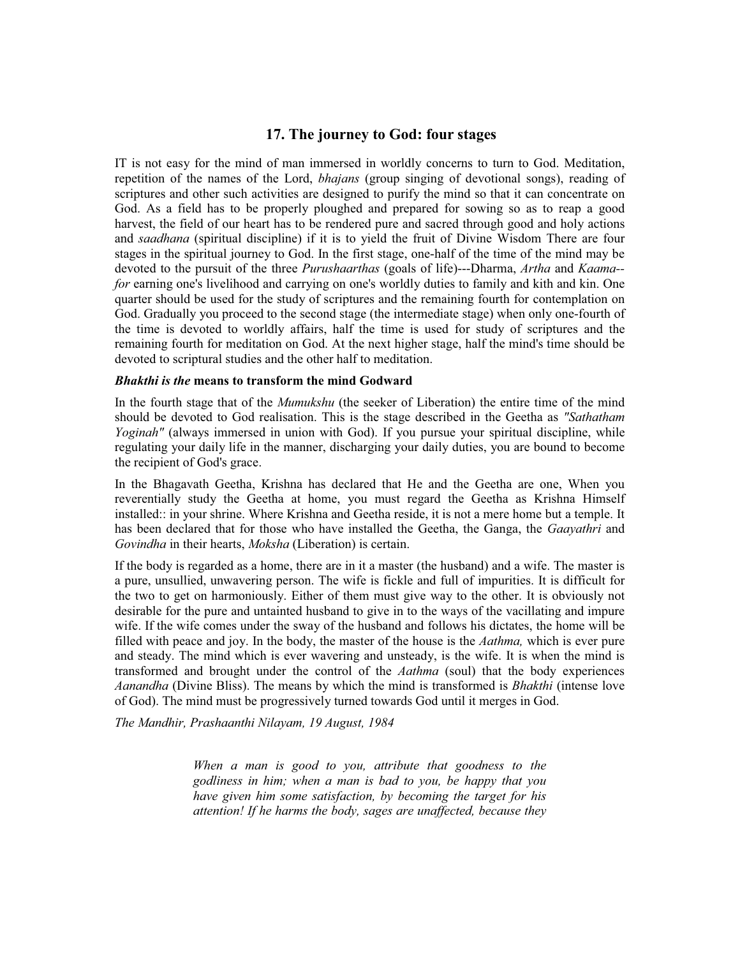## **17. The journey to God: four stages**

IT is not easy for the mind of man immersed in worldly concerns to turn to God. Meditation, repetition of the names of the Lord, *bhajans* (group singing of devotional songs), reading of scriptures and other such activities are designed to purify the mind so that it can concentrate on God. As a field has to be properly ploughed and prepared for sowing so as to reap a good harvest, the field of our heart has to be rendered pure and sacred through good and holy actions and *saadhana* (spiritual discipline) if it is to yield the fruit of Divine Wisdom There are four stages in the spiritual journey to God. In the first stage, one-half of the time of the mind may be devoted to the pursuit of the three *Purushaarthas* (goals of life)---Dharma, *Artha* and *Kaama- for* earning one's livelihood and carrying on one's worldly duties to family and kith and kin. One quarter should be used for the study of scriptures and the remaining fourth for contemplation on God. Gradually you proceed to the second stage (the intermediate stage) when only one-fourth of the time is devoted to worldly affairs, half the time is used for study of scriptures and the remaining fourth for meditation on God. At the next higher stage, half the mind's time should be devoted to scriptural studies and the other half to meditation.

## *Bhakthi is the* **means to transform the mind Godward**

In the fourth stage that of the *Mumukshu* (the seeker of Liberation) the entire time of the mind should be devoted to God realisation. This is the stage described in the Geetha as *"Sathatham Yoginah"* (always immersed in union with God). If you pursue your spiritual discipline, while regulating your daily life in the manner, discharging your daily duties, you are bound to become the recipient of God's grace.

In the Bhagavath Geetha, Krishna has declared that He and the Geetha are one, When you reverentially study the Geetha at home, you must regard the Geetha as Krishna Himself installed:: in your shrine. Where Krishna and Geetha reside, it is not a mere home but a temple. It has been declared that for those who have installed the Geetha, the Ganga, the *Gaayathri* and *Govindha* in their hearts, *Moksha* (Liberation) is certain.

If the body is regarded as a home, there are in it a master (the husband) and a wife. The master is a pure, unsullied, unwavering person. The wife is fickle and full of impurities. It is difficult for the two to get on harmoniously. Either of them must give way to the other. It is obviously not desirable for the pure and untainted husband to give in to the ways of the vacillating and impure wife. If the wife comes under the sway of the husband and follows his dictates, the home will be filled with peace and joy. In the body, the master of the house is the *Aathma,* which is ever pure and steady. The mind which is ever wavering and unsteady, is the wife. It is when the mind is transformed and brought under the control of the *Aathma* (soul) that the body experiences *Aanandha* (Divine Bliss). The means by which the mind is transformed is *Bhakthi* (intense love of God). The mind must be progressively turned towards God until it merges in God.

*The Mandhir, Prashaanthi Nilayam, 19 August, 1984*

*When a man is good to you, attribute that goodness to the godliness in him; when a man is bad to you, be happy that you have given him some satisfaction, by becoming the target for his attention! If he harms the body, sages are unaffected, because they*